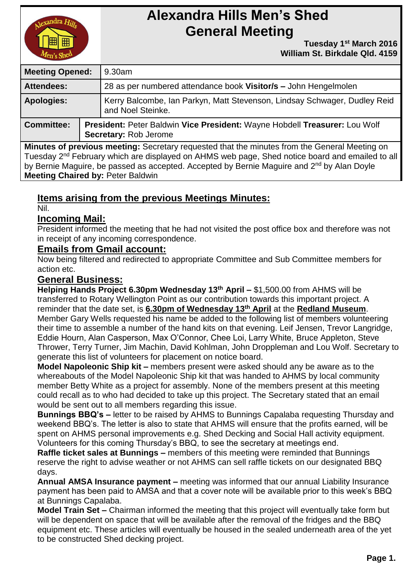

# **Alexandra Hills Men's Shed General Meeting**

 **Tuesday 1 st March 2016 William St. Birkdale Qld. 4159** 

| <b>Meeting Opened:</b> |  | 9.30am                                                                                              |  |
|------------------------|--|-----------------------------------------------------------------------------------------------------|--|
| <b>Attendees:</b>      |  | 28 as per numbered attendance book Visitor/s - John Hengelmolen                                     |  |
| <b>Apologies:</b>      |  | Kerry Balcombe, Ian Parkyn, Matt Stevenson, Lindsay Schwager, Dudley Reid<br>and Noel Steinke.      |  |
| <b>Committee:</b>      |  | President: Peter Baldwin Vice President: Wayne Hobdell Treasurer: Lou Wolf<br>Secretary: Rob Jerome |  |

**Minutes of previous meeting:** Secretary requested that the minutes from the General Meeting on Tuesday 2<sup>nd</sup> February which are displayed on AHMS web page, Shed notice board and emailed to all by Bernie Maguire, be passed as accepted. Accepted by Bernie Maguire and 2<sup>nd</sup> by Alan Doyle **Meeting Chaired by:** Peter Baldwin

# **Items arising from the previous Meetings Minutes:**

Nil.

## **Incoming Mail:**

President informed the meeting that he had not visited the post office box and therefore was not in receipt of any incoming correspondence.

### **Emails from Gmail account:**

Now being filtered and redirected to appropriate Committee and Sub Committee members for action etc.

#### **General Business:**

**Helping Hands Project 6.30pm Wednesday 13th April –** \$1,500.00 from AHMS will be transferred to Rotary Wellington Point as our contribution towards this important project. A reminder that the date set, is **6.30pm of Wednesday 13th April** at the **Redland Museum**. Member Gary Wells requested his name be added to the following list of members volunteering their time to assemble a number of the hand kits on that evening. Leif Jensen, Trevor Langridge, Eddie Hourn, Alan Casperson, Max O'Connor, Chee Loi, Larry White, Bruce Appleton, Steve Thrower, Terry Turner, Jim Machin, David Kohlman, John Droppleman and Lou Wolf. Secretary to generate this list of volunteers for placement on notice board.

**Model Napoleonic Ship kit –** members present were asked should any be aware as to the whereabouts of the Model Napoleonic Ship kit that was handed to AHMS by local community member Betty White as a project for assembly. None of the members present at this meeting could recall as to who had decided to take up this project. The Secretary stated that an email would be sent out to all members regarding this issue.

**Bunnings BBQ's –** letter to be raised by AHMS to Bunnings Capalaba requesting Thursday and weekend BBQ's. The letter is also to state that AHMS will ensure that the profits earned, will be spent on AHMS personal improvements e.g. Shed Decking and Social Hall activity equipment. Volunteers for this coming Thursday's BBQ, to see the secretary at meetings end.

**Raffle ticket sales at Bunnings –** members of this meeting were reminded that Bunnings reserve the right to advise weather or not AHMS can sell raffle tickets on our designated BBQ days.

**Annual AMSA Insurance payment –** meeting was informed that our annual Liability Insurance payment has been paid to AMSA and that a cover note will be available prior to this week's BBQ at Bunnings Capalaba.

**Model Train Set –** Chairman informed the meeting that this project will eventually take form but will be dependent on space that will be available after the removal of the fridges and the BBQ equipment etc. These articles will eventually be housed in the sealed underneath area of the yet to be constructed Shed decking project.